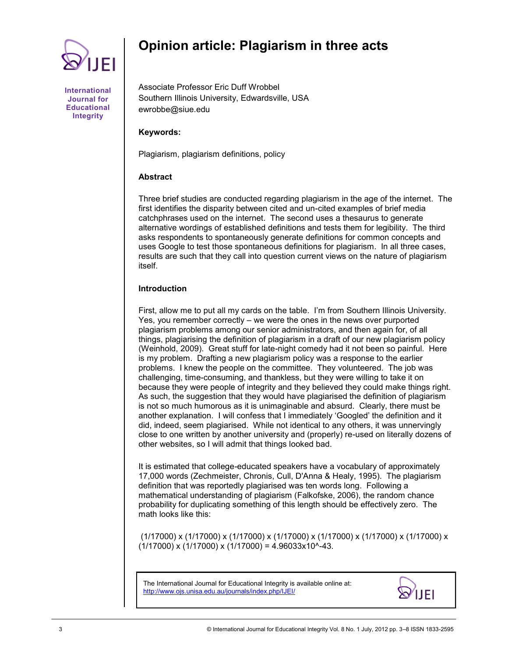

# **Opinion article: Plagiarism in three acts**

**International Journal for Educational Integrity**

Associate Professor Eric Duff Wrobbel Southern Illinois University, Edwardsville, USA ewrobbe@siue.edu

# **Keywords:**

Plagiarism, plagiarism definitions, policy

# **Abstract**

Three brief studies are conducted regarding plagiarism in the age of the internet. The first identifies the disparity between cited and un-cited examples of brief media catchphrases used on the internet. The second uses a thesaurus to generate alternative wordings of established definitions and tests them for legibility. The third asks respondents to spontaneously generate definitions for common concepts and uses Google to test those spontaneous definitions for plagiarism. In all three cases, results are such that they call into question current views on the nature of plagiarism itself.

# **Introduction**

First, allow me to put all my cards on the table. I"m from Southern Illinois University. Yes, you remember correctly – we were the ones in the news over purported plagiarism problems among our senior administrators, and then again for, of all things, plagiarising the definition of plagiarism in a draft of our new plagiarism policy (Weinhold, 2009). Great stuff for late-night comedy had it not been so painful. Here is my problem. Drafting a new plagiarism policy was a response to the earlier problems. I knew the people on the committee. They volunteered. The job was challenging, time-consuming, and thankless, but they were willing to take it on because they were people of integrity and they believed they could make things right. As such, the suggestion that they would have plagiarised the definition of plagiarism is not so much humorous as it is unimaginable and absurd. Clearly, there must be another explanation. I will confess that I immediately "Googled" the definition and it did, indeed, seem plagiarised. While not identical to any others, it was unnervingly close to one written by another university and (properly) re-used on literally dozens of other websites, so I will admit that things looked bad.

It is estimated that college-educated speakers have a vocabulary of approximately 17,000 words (Zechmeister, Chronis, Cull, D'Anna & Healy, 1995). The plagiarism definition that was reportedly plagiarised was ten words long. Following a mathematical understanding of plagiarism (Falkofske, 2006), the random chance probability for duplicating something of this length should be effectively zero. The math looks like this:

(1/17000) x (1/17000) x (1/17000) x (1/17000) x (1/17000) x (1/17000) x (1/17000) x  $(1/17000)$  x  $(1/17000)$  x  $(1/17000)$  = 4.96033x10^-43.

The International Journal for Educational Integrity is available online at: http://www.ojs.unisa.edu.au/journals/index.php/IJEI/

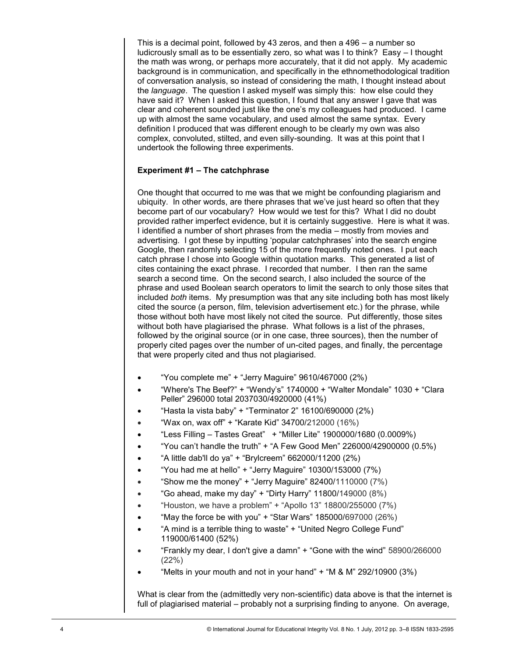This is a decimal point, followed by 43 zeros, and then a 496 – a number so ludicrously small as to be essentially zero, so what was I to think? Easy – I thought the math was wrong, or perhaps more accurately, that it did not apply. My academic background is in communication, and specifically in the ethnomethodological tradition of conversation analysis, so instead of considering the math, I thought instead about the *language*. The question I asked myself was simply this: how else could they have said it? When I asked this question, I found that any answer I gave that was clear and coherent sounded just like the one"s my colleagues had produced. I came up with almost the same vocabulary, and used almost the same syntax. Every definition I produced that was different enough to be clearly my own was also complex, convoluted, stilted, and even silly-sounding. It was at this point that I undertook the following three experiments.

# **Experiment #1 – The catchphrase**

One thought that occurred to me was that we might be confounding plagiarism and ubiquity. In other words, are there phrases that we"ve just heard so often that they become part of our vocabulary? How would we test for this? What I did no doubt provided rather imperfect evidence, but it is certainly suggestive. Here is what it was. I identified a number of short phrases from the media – mostly from movies and advertising. I got these by inputting 'popular catchphrases' into the search engine Google, then randomly selecting 15 of the more frequently noted ones. I put each catch phrase I chose into Google within quotation marks. This generated a list of cites containing the exact phrase. I recorded that number. I then ran the same search a second time. On the second search, I also included the source of the phrase and used Boolean search operators to limit the search to only those sites that included *both* items. My presumption was that any site including both has most likely cited the source (a person, film, television advertisement etc.) for the phrase, while those without both have most likely not cited the source. Put differently, those sites without both have plagiarised the phrase. What follows is a list of the phrases, followed by the original source (or in one case, three sources), then the number of properly cited pages over the number of un-cited pages, and finally, the percentage that were properly cited and thus not plagiarised.

- "You complete me" + "Jerry Maguire" 9610/467000 (2%)
- "Where's The Beef?" + "Wendy"s" 1740000 + "Walter Mondale" 1030 + "Clara Peller" 296000 total 2037030/4920000 (41%)
- "Hasta la vista baby" + "Terminator 2" 16100/690000 (2%)
- "Wax on, wax off" + "Karate Kid" 34700/212000 (16%)
- "Less Filling Tastes Great" + "Miller Lite" 1900000/1680 (0.0009%)
- "You can't handle the truth" + "A Few Good Men" 226000/42900000  $(0.5\%)$
- "A little dab'll do ya" + "Brylcreem" 662000/11200 (2%)
- "You had me at hello" + "Jerry Maguire" 10300/153000 (7%)
- "Show me the money" + "Jerry Maguire" 82400/1110000 (7%)
- $\bullet$  "Go ahead, make my day" + "Dirty Harry" 11800/149000 (8%)
- "Houston, we have a problem" + "Apollo 13" 18800/255000 (7%)
- "May the force be with you" + "Star Wars" 185000/697000  $(26%)$
- "A mind is a terrible thing to waste" + "United Negro College Fund" 119000/61400 (52%)
- "Frankly my dear, I don't give a damn" + "Gone with the wind" 58900/266000 (22%)
- "Melts in your mouth and not in your hand"  $+$  "M & M" 292/10900 (3%)

What is clear from the (admittedly very non-scientific) data above is that the internet is full of plagiarised material – probably not a surprising finding to anyone. On average,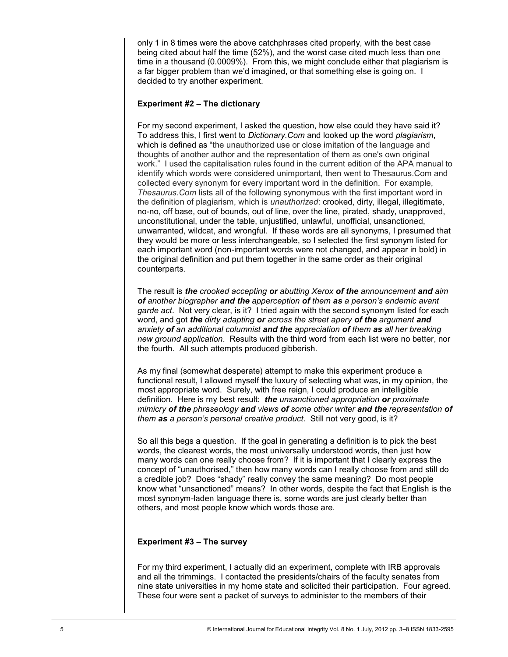only 1 in 8 times were the above catchphrases cited properly, with the best case being cited about half the time (52%), and the worst case cited much less than one time in a thousand (0.0009%). From this, we might conclude either that plagiarism is a far bigger problem than we'd imagined, or that something else is going on. I decided to try another experiment.

## **Experiment #2 – The dictionary**

For my second experiment, I asked the question, how else could they have said it? To address this, I first went to *Dictionary.Com* and looked up the word *plagiarism*, which is defined as "the unauthorized use or close imitation of the language and thoughts of another author and the representation of them as one's own original work." I used the capitalisation rules found in the current edition of the APA manual to identify which words were considered unimportant, then went to Thesaurus.Com and collected every synonym for every important word in the definition. For example, *Thesaurus.Com* lists all of the following synonymous with the first important word in the definition of plagiarism, which is *unauthorized*: crooked, dirty, illegal, illegitimate, no-no, off base, out of bounds, out of line, over the line, pirated, shady, unapproved, unconstitutional, under the table, unjustified, unlawful, unofficial, unsanctioned, unwarranted, wildcat, and wrongful. If these words are all synonyms, I presumed that they would be more or less interchangeable, so I selected the first synonym listed for each important word (non-important words were not changed, and appear in bold) in the original definition and put them together in the same order as their original counterparts.

The result is *the crooked accepting or abutting Xerox of the announcement and aim of another biographer and the apperception of them as a person's endemic avant garde act*. Not very clear, is it? I tried again with the second synonym listed for each word, and got *the dirty adapting or across the street apery of the argument and anxiety of an additional columnist and the appreciation of them as all her breaking new ground application*. Results with the third word from each list were no better, nor the fourth. All such attempts produced gibberish.

As my final (somewhat desperate) attempt to make this experiment produce a functional result, I allowed myself the luxury of selecting what was, in my opinion, the most appropriate word. Surely, with free reign, I could produce an intelligible definition. Here is my best result: *the unsanctioned appropriation or proximate mimicry of the phraseology and views of some other writer and the representation of them as a person's personal creative product*. Still not very good, is it?

So all this begs a question. If the goal in generating a definition is to pick the best words, the clearest words, the most universally understood words, then just how many words can one really choose from? If it is important that I clearly express the concept of "unauthorised," then how many words can I really choose from and still do a credible job? Does "shady" really convey the same meaning? Do most people know what "unsanctioned" means? In other words, despite the fact that English is the most synonym-laden language there is, some words are just clearly better than others, and most people know which words those are.

## **Experiment #3 – The survey**

For my third experiment, I actually did an experiment, complete with IRB approvals and all the trimmings. I contacted the presidents/chairs of the faculty senates from nine state universities in my home state and solicited their participation. Four agreed. These four were sent a packet of surveys to administer to the members of their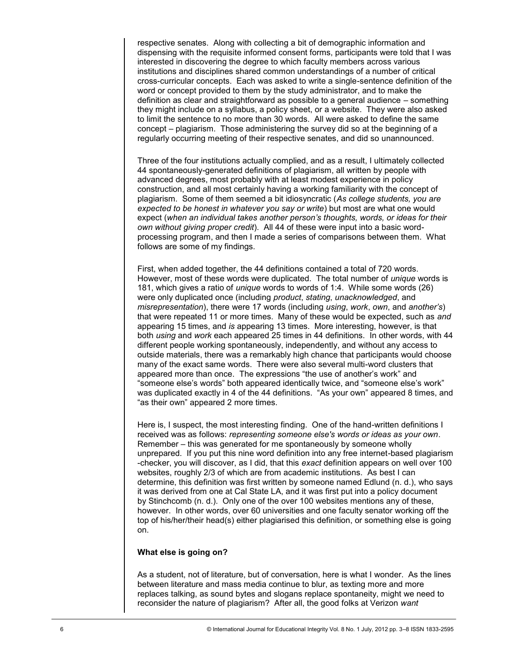respective senates. Along with collecting a bit of demographic information and dispensing with the requisite informed consent forms, participants were told that I was interested in discovering the degree to which faculty members across various institutions and disciplines shared common understandings of a number of critical cross-curricular concepts. Each was asked to write a single-sentence definition of the word or concept provided to them by the study administrator, and to make the definition as clear and straightforward as possible to a general audience – something they might include on a syllabus, a policy sheet, or a website. They were also asked to limit the sentence to no more than 30 words. All were asked to define the same concept – plagiarism. Those administering the survey did so at the beginning of a regularly occurring meeting of their respective senates, and did so unannounced.

Three of the four institutions actually complied, and as a result, I ultimately collected 44 spontaneously-generated definitions of plagiarism, all written by people with advanced degrees, most probably with at least modest experience in policy construction, and all most certainly having a working familiarity with the concept of plagiarism. Some of them seemed a bit idiosyncratic (*As college students, you are expected to be honest in whatever you say or write*) but most are what one would expect (*when an individual takes another person's thoughts, words, or ideas for their own without giving proper credit*). All 44 of these were input into a basic wordprocessing program, and then I made a series of comparisons between them. What follows are some of my findings.

First, when added together, the 44 definitions contained a total of 720 words. However, most of these words were duplicated. The total number of *unique* words is 181, which gives a ratio of *unique* words to words of 1:4. While some words (26) were only duplicated once (including *product*, *stating*, *unacknowledged*, and *misrepresentation*), there were 17 words (including *using*, *work*, *own*, and *another's*) that were repeated 11 or more times. Many of these would be expected, such as *and* appearing 15 times, and *is* appearing 13 times. More interesting, however, is that both *using* and *work* each appeared 25 times in 44 definitions. In other words, with 44 different people working spontaneously, independently, and without any access to outside materials, there was a remarkably high chance that participants would choose many of the exact same words. There were also several multi-word clusters that appeared more than once. The expressions "the use of another"s work" and "someone else"s words" both appeared identically twice, and "someone else"s work" was duplicated exactly in 4 of the 44 definitions. "As your own" appeared 8 times, and "as their own" appeared 2 more times.

Here is, I suspect, the most interesting finding. One of the hand-written definitions I received was as follows: *representing someone else's words or ideas as your own*. Remember – this was generated for me spontaneously by someone wholly unprepared. If you put this nine word definition into any free internet-based plagiarism -checker, you will discover, as I did, that this *exact* definition appears on well over 100 websites, roughly 2/3 of which are from academic institutions. As best I can determine, this definition was first written by someone named Edlund (n. d.), who says it was derived from one at Cal State LA, and it was first put into a policy document by Stinchcomb (n. d.). Only one of the over 100 websites mentions any of these, however. In other words, over 60 universities and one faculty senator working off the top of his/her/their head(s) either plagiarised this definition, or something else is going on.

## **What else is going on?**

As a student, not of literature, but of conversation, here is what I wonder. As the lines between literature and mass media continue to blur, as texting more and more replaces talking, as sound bytes and slogans replace spontaneity, might we need to reconsider the nature of plagiarism? After all, the good folks at Verizon *want*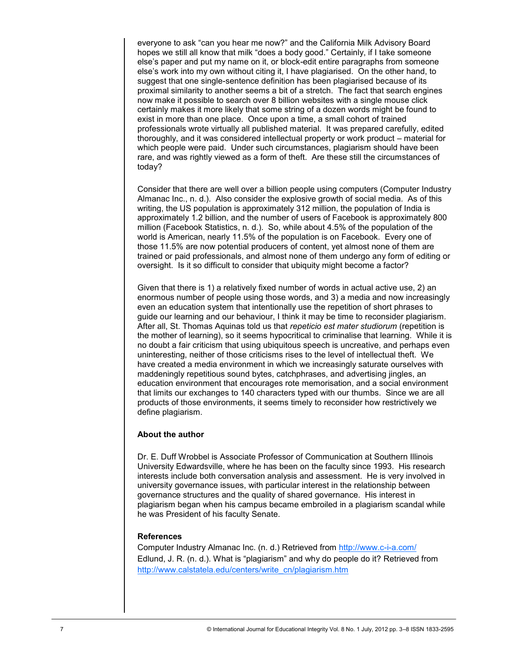everyone to ask "can you hear me now?" and the California Milk Advisory Board hopes we still all know that milk "does a body good." Certainly, if I take someone else"s paper and put my name on it, or block-edit entire paragraphs from someone else"s work into my own without citing it, I have plagiarised. On the other hand, to suggest that one single-sentence definition has been plagiarised because of its proximal similarity to another seems a bit of a stretch. The fact that search engines now make it possible to search over 8 billion websites with a single mouse click certainly makes it more likely that some string of a dozen words might be found to exist in more than one place. Once upon a time, a small cohort of trained professionals wrote virtually all published material. It was prepared carefully, edited thoroughly, and it was considered intellectual property or work product – material for which people were paid. Under such circumstances, plagiarism should have been rare, and was rightly viewed as a form of theft. Are these still the circumstances of today?

Consider that there are well over a billion people using computers (Computer Industry Almanac Inc., n. d.). Also consider the explosive growth of social media. As of this writing, the US population is approximately 312 million, the population of India is approximately 1.2 billion, and the number of users of Facebook is approximately 800 million (Facebook Statistics, n. d.). So, while about 4.5% of the population of the world is American, nearly 11.5% of the population is on Facebook. Every one of those 11.5% are now potential producers of content, yet almost none of them are trained or paid professionals, and almost none of them undergo any form of editing or oversight. Is it so difficult to consider that ubiquity might become a factor?

Given that there is 1) a relatively fixed number of words in actual active use, 2) an enormous number of people using those words, and 3) a media and now increasingly even an education system that intentionally use the repetition of short phrases to guide our learning and our behaviour, I think it may be time to reconsider plagiarism. After all, St. Thomas Aquinas told us that *repeticio est mater studiorum* (repetition is the mother of learning), so it seems hypocritical to criminalise that learning. While it is no doubt a fair criticism that using ubiquitous speech is uncreative, and perhaps even uninteresting, neither of those criticisms rises to the level of intellectual theft. We have created a media environment in which we increasingly saturate ourselves with maddeningly repetitious sound bytes, catchphrases, and advertising jingles, an education environment that encourages rote memorisation, and a social environment that limits our exchanges to 140 characters typed with our thumbs. Since we are all products of those environments, it seems timely to reconsider how restrictively we define plagiarism.

# **About the author**

Dr. E. Duff Wrobbel is Associate Professor of Communication at Southern Illinois University Edwardsville, where he has been on the faculty since 1993. His research interests include both conversation analysis and assessment. He is very involved in university governance issues, with particular interest in the relationship between governance structures and the quality of shared governance. His interest in plagiarism began when his campus became embroiled in a plagiarism scandal while he was President of his faculty Senate.

## **References**

Computer Industry Almanac Inc. (n. d.) Retrieved from [http://www.c](http://www.c-i-a.com/)-i-a.com/ Edlund, J. R. (n. d.). What is "plagiarism" and why do people do it? Retrieved from [http://www.calstatela.edu/centers/write\\_cn/plagiarism.htm](http://www.calstatela.edu/centers/write_cn/plagiarism.htm)